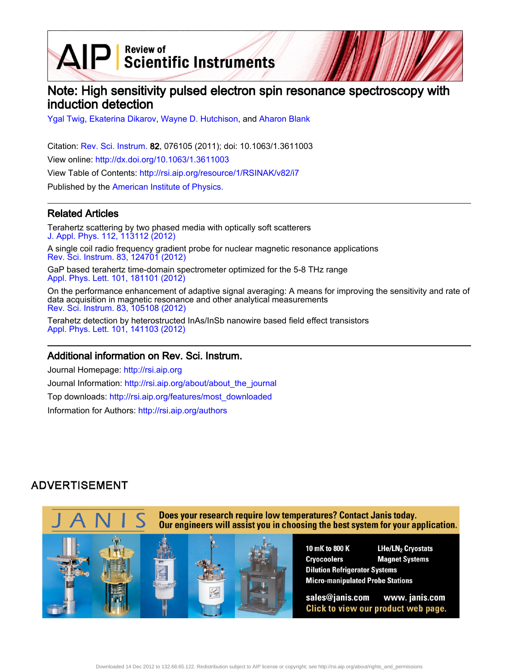$\text{AIP}$  Scientific Instruments

# Note: High sensitivity pulsed electron spin resonance spectroscopy with induction detection

[Ygal Twig,](http://rsi.aip.org/search?sortby=newestdate&q=&searchzone=2&searchtype=searchin&faceted=faceted&key=AIP_ALL&possible1=Ygal Twig&possible1zone=author&alias=&displayid=AIP&ver=pdfcov) [Ekaterina Dikarov](http://rsi.aip.org/search?sortby=newestdate&q=&searchzone=2&searchtype=searchin&faceted=faceted&key=AIP_ALL&possible1=Ekaterina Dikarov&possible1zone=author&alias=&displayid=AIP&ver=pdfcov), [Wayne D. Hutchison,](http://rsi.aip.org/search?sortby=newestdate&q=&searchzone=2&searchtype=searchin&faceted=faceted&key=AIP_ALL&possible1=Wayne D. Hutchison&possible1zone=author&alias=&displayid=AIP&ver=pdfcov) and [Aharon Blank](http://rsi.aip.org/search?sortby=newestdate&q=&searchzone=2&searchtype=searchin&faceted=faceted&key=AIP_ALL&possible1=Aharon Blank&possible1zone=author&alias=&displayid=AIP&ver=pdfcov)

Citation: [Rev. Sci. Instrum.](http://rsi.aip.org?ver=pdfcov) 82, 076105 (2011); doi: 10.1063/1.3611003 View online: [http://dx.doi.org/10.1063/1.3611003](http://link.aip.org/link/doi/10.1063/1.3611003?ver=pdfcov) View Table of Contents: [http://rsi.aip.org/resource/1/RSINAK/v82/i7](http://rsi.aip.org/resource/1/RSINAK/v82/i7?ver=pdfcov) Published by the [American Institute of Physics.](http://www.aip.org/?ver=pdfcov)

### Related Articles

Terahertz scattering by two phased media with optically soft scatterers [J. Appl. Phys. 112, 113112 \(2012\)](http://link.aip.org/link/doi/10.1063/1.4768888?ver=pdfcov)

A single coil radio frequency gradient probe for nuclear magnetic resonance applications [Rev. Sci. Instrum. 83, 124701 \(2012\)](http://link.aip.org/link/doi/10.1063/1.4769054?ver=pdfcov)

GaP based terahertz time-domain spectrometer optimized for the 5-8 THz range [Appl. Phys. Lett. 101, 181101 \(2012\)](http://link.aip.org/link/doi/10.1063/1.4764545?ver=pdfcov)

On the performance enhancement of adaptive signal averaging: A means for improving the sensitivity and rate of data acquisition in magnetic resonance and other analytical measurements [Rev. Sci. Instrum. 83, 105108 \(2012\)](http://link.aip.org/link/doi/10.1063/1.4757869?ver=pdfcov)

Terahetz detection by heterostructed InAs/InSb nanowire based field effect transistors [Appl. Phys. Lett. 101, 141103 \(2012\)](http://link.aip.org/link/doi/10.1063/1.4757005?ver=pdfcov)

#### Additional information on Rev. Sci. Instrum.

Journal Homepage: [http://rsi.aip.org](http://rsi.aip.org?ver=pdfcov) Journal Information: [http://rsi.aip.org/about/about\\_the\\_journal](http://rsi.aip.org/about/about_the_journal?ver=pdfcov) Top downloads: [http://rsi.aip.org/features/most\\_downloaded](http://rsi.aip.org/features/most_downloaded?ver=pdfcov) Information for Authors: [http://rsi.aip.org/authors](http://rsi.aip.org/authors?ver=pdfcov)

## **ADVERTISEMENT**

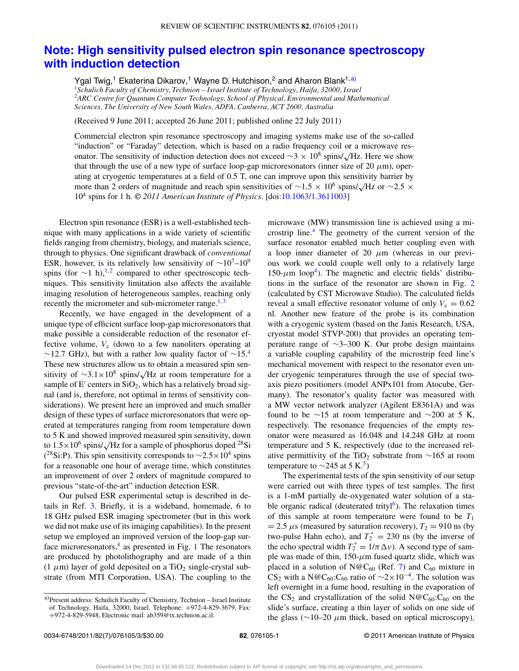### **[Note: High sensitivity pulsed electron spin resonance spectroscopy](http://dx.doi.org/10.1063/1.3611003) [with induction detection](http://dx.doi.org/10.1063/1.3611003)**

Ygal Twig,<sup>1</sup> Ekaterina Dikarov,<sup>1</sup> Wayne D. Hutchison,<sup>2</sup> and Aharon Blank<sup>1[,a\)](#page-1-0)</sup>

<sup>1</sup>*Schulich Faculty of Chemistry, Technion – Israel Institute of Technology, Haifa, 32000, Israel* <sup>2</sup>*ARC Centre for Quantum Computer Technology, School of Physical, Environmental and Mathematical Sciences, The University of New South Wales, ADFA, Canberra, ACT 2600, Australia*

(Received 9 June 2011; accepted 26 June 2011; published online 22 July 2011)

Commercial electron spin resonance spectroscopy and imaging systems make use of the so-called "induction" or "Faraday" detection, which is based on a radio frequency coil or a microwave resonator. The sensitivity of induction detection does not exceed  $\sim$ 3 × 10<sup>8</sup> spins/√Hz. Here we show that through the use of a new type of surface loop-gap microresonators (inner size of 20  $\mu$ m), operating at cryogenic temperatures at a field of 0.5 T, one can improve upon this sensitivity barrier by more than 2 orders of magnitude and reach spin sensitivities of  $\sim$ 1.5 × 10<sup>6</sup> spins/√Hz or  $\sim$ 2.5 × 104 spins for 1 h. *© 2011 American Institute of Physics*. [doi[:10.1063/1.3611003\]](http://dx.doi.org/10.1063/1.3611003)

Electron spin resonance (ESR) is a well-established technique with many applications in a wide variety of scientific fields ranging from chemistry, biology, and materials science, through to physics. One significant drawback of *conventional* ESR, however, is its relatively low sensitivity of  $\sim 10^7-10^9$ spins (for  $\sim$ 1 h),<sup>[1,](#page-3-0)[2](#page-3-1)</sup> compared to other spectroscopic techniques. This sensitivity limitation also affects the available imaging resolution of heterogeneous samples, reaching only recently the micrometer and sub-micrometer range. $1,3$  $1,3$ 

Recently, we have engaged in the development of a unique type of efficient surface loop-gap microresonators that make possible a considerable reduction of the resonator effective volume,  $V_c$  (down to a few nanoliters operating at  $∼12.7$  GHz), but with a rather low quality factor of  $~\sim 15.4$  $~\sim 15.4$ These new structures allow us to obtain a measured spin sensitivity of  $\sim$ 3.1×10<sup>8</sup> spins/ $\sqrt{Hz}$  at room temperature for a sample of  $E'$  centers in  $SiO<sub>2</sub>$ , which has a relatively broad signal (and is, therefore, not optimal in terms of sensitivity considerations). We present here an improved and much smaller design of these types of surface microresonators that were operated at temperatures ranging from room temperature down to 5 K and showed improved measured spin sensitivity, down to  $1.5 \times 10^6$  spins/ $\sqrt{\text{Hz}}$  for a sample of phosphorus doped <sup>28</sup>Si (<sup>28</sup>Si:P). This spin sensitivity corresponds to  $\sim$ 2.5×10<sup>4</sup> spins for a reasonable one hour of average time, which constitutes an improvement of over 2 orders of magnitude compared to previous "state-of-the-art" induction detection ESR.

Our pulsed ESR experimental setup is described in details in Ref. [3.](#page-3-2) Briefly, it is a wideband, homemade, 6 to 18 GHz pulsed ESR imaging spectrometer (but in this work we did not make use of its imaging capabilities). In the present setup we employed an improved version of the loop-gap surface microresonators, $4$  as presented in Fig. [1](#page-2-0) The resonators are produced by photolithography and are made of a thin (1  $\mu$ m) layer of gold deposited on a TiO<sub>2</sub> single-crystal substrate (from MTI Corporation, USA). The coupling to the

microwave (MW) transmission line is achieved using a microstrip line.[4](#page-3-3) The geometry of the current version of the surface resonator enabled much better coupling even with a loop inner diameter of 20  $\mu$ m (whereas in our previous work we could couple well only to a relatively large  $150-\mu m$  loop<sup>4</sup>). The magnetic and electric fields' distributions in the surface of the resonator are shown in Fig. [2](#page-2-1) (calculated by CST Microwave Studio). The calculated fields reveal a small effective resonator volume of only  $V_c = 0.62$ nl. Another new feature of the probe is its combination with a cryogenic system (based on the Janis Research, USA, cryostat model STVP-200) that provides an operating temperature range of ∼3–300 K. Our probe design maintains a variable coupling capability of the microstrip feed line's mechanical movement with respect to the resonator even under cryogenic temperatures through the use of special twoaxis piezo positioners (model ANPx101 from Atocube, Germany). The resonator's quality factor was measured with a MW vector network analyzer (Agilent E8361A) and was found to be ∼15 at room temperature and ∼200 at 5 K, respectively. The resonance frequencies of the empty resonator were measured as 16.048 and 14.248 GHz at room temperature and 5 K, respectively (due to the increased relative permittivity of the TiO<sub>2</sub> substrate from  $\sim$ 165 at room temperature to  $\sim$ 245 at 5 K.<sup>5</sup>)

The experimental tests of the spin sensitivity of our setup were carried out with three types of test samples. The first is a 1-mM partially de-oxygenated water solution of a stable organic radical (deuterated trityl $<sup>6</sup>$ ). The relaxation times</sup> of this sample at room temperature were found to be  $T_1$  $= 2.5 \mu s$  (measured by saturation recovery),  $T_2 = 910$  ns (by two-pulse Hahn echo), and  $T_2^* = 230$  ns (by the inverse of the echo spectral width  $T_2^* = 1/\pi \Delta \nu$ ). A second type of sample was made of thin, 150- $\mu$ m fused quartz slide, which was placed in a solution of N@C<sub>60</sub> (Ref. [7\)](#page-3-6) and C<sub>60</sub> mixture in CS<sub>2</sub> with a N@C<sub>60</sub>:C<sub>60</sub> ratio of  $\sim$ 2×10<sup>-4</sup>. The solution was left overnight in a fume hood, resulting in the evaporation of the  $CS_2$  and crystallization of the solid  $N@C_{60}$ :  $C_{60}$  on the slide's surface, creating a thin layer of solids on one side of the glass ( $\sim$ 10–20  $\mu$ m thick, based on optical microscopy).

<span id="page-1-0"></span>a)Present address: Schulich Faculty of Chemistry, Technion – Israel Institute of Technology, Haifa, 32000, Israel. Telephone: +972-4-829-3679, Fax: +972-4-829-5948, Electronic mail: [ab359@tx.technion.ac.il.](mailto: ab359@tx.technion.ac.il)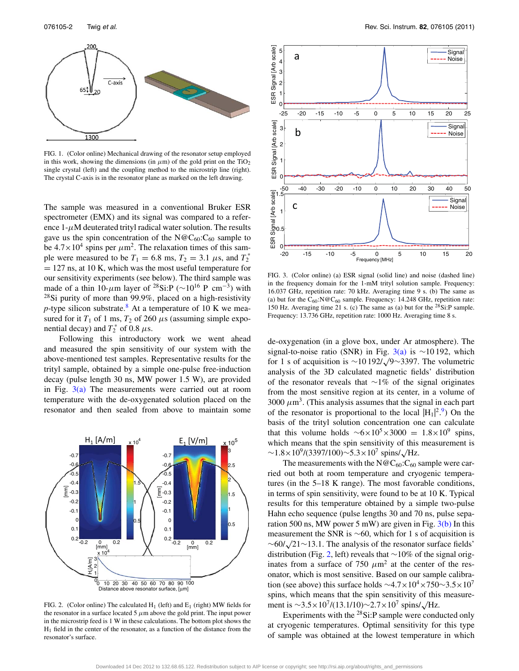<span id="page-2-0"></span>

FIG. 1. (Color online) Mechanical drawing of the resonator setup employed in this work, showing the dimensions (in  $\mu$ m) of the gold print on the TiO<sub>2</sub> single crystal (left) and the coupling method to the microstrip line (right). The crystal C-axis is in the resonator plane as marked on the left drawing.

The sample was measured in a conventional Bruker ESR spectrometer (EMX) and its signal was compared to a reference  $1-\mu$ M deuterated trityl radical water solution. The results gave us the spin concentration of the  $N@C_{60}$ :C<sub>60</sub> sample to be  $4.7 \times 10^4$  spins per  $\mu$ m<sup>2</sup>. The relaxation times of this sample were measured to be  $T_1 = 6.8$  ms,  $T_2 = 3.1$   $\mu$ s, and  $T_2^*$  $= 127$  ns, at 10 K, which was the most useful temperature for our sensitivity experiments (see below). The third sample was made of a thin 10-µm layer of <sup>28</sup>Si:P ( $\sim$ 10<sup>16</sup> P cm<sup>-3</sup>) with  $28$ Si purity of more than 99.9%, placed on a high-resistivity *p*-type silicon substrate.<sup>[8](#page-3-7)</sup> At a temperature of 10 K we measured for it  $T_1$  of 1 ms,  $T_2$  of 260  $\mu$ s (assuming simple exponential decay) and  $T_2^*$  of 0.8  $\mu$ s.

Following this introductory work we went ahead and measured the spin sensitivity of our system with the above-mentioned test samples. Representative results for the trityl sample, obtained by a simple one-pulse free-induction decay (pulse length 30 ns, MW power 1.5 W), are provided in Fig.  $3(a)$  The measurements were carried out at room temperature with the de-oxygenated solution placed on the resonator and then sealed from above to maintain some

<span id="page-2-1"></span>

FIG. 2. (Color online) The calculated  $H_1$  (left) and  $E_1$  (right) MW fields for the resonator in a surface located 5  $\mu$ m above the gold print. The input power in the microstrip feed is 1 W in these calculations. The bottom plot shows the  $H<sub>1</sub>$  field in the center of the resonator, as a function of the distance from the resonator's surface.

<span id="page-2-2"></span>

FIG. 3. (Color online) (a) ESR signal (solid line) and noise (dashed line) in the frequency domain for the 1-mM trityl solution sample. Frequency: 16.037 GHz, repetition rate: 70 kHz. Averaging time 9 s. (b) The same as (a) but for the  $C_{60}$ :N@ $C_{60}$  sample. Frequency: 14.248 GHz, repetition rate: 150 Hz. Averaging time 21 s. (c) The same as (a) but for the  $28\text{SiP}$  sample. Frequency: 13.736 GHz, repetition rate: 1000 Hz. Averaging time 8 s.

de-oxygenation (in a glove box, under Ar atmosphere). The signal-to-noise ratio (SNR) in Fig. [3\(a\)](#page-2-2) is ~10 192, which for 1 s of acquisition is  $\sim$ 10 192/ $\sqrt{9}$ ~3397. The volumetric analysis of the 3D calculated magnetic fields' distribution of the resonator reveals that ∼1% of the signal originates from the most sensitive region at its center, in a volume of 3000  $\mu$ m<sup>3</sup>. (This analysis assumes that the signal in each part of the resonator is proportional to the local  $|H_1|^2$ <sup>9</sup> On the basis of the trityl solution concentration one can calculate that this volume holds  $\sim 6 \times 10^5 \times 3000 = 1.8 \times 10^9$  spins, which means that the spin sensitivity of this measurement is  $\sim$ 1.8×10<sup>9</sup>/(3397/100)∼5.3×10<sup>7</sup> spins/ $\sqrt{\text{Hz}}$ .

The measurements with the  $N@C_{60}$ : $C_{60}$  sample were carried out both at room temperature and cryogenic temperatures (in the 5–18 K range). The most favorable conditions, in terms of spin sensitivity, were found to be at 10 K. Typical results for this temperature obtained by a simple two-pulse Hahn echo sequence (pulse lengths 30 and 70 ns, pulse separation 500 ns, MW power 5 mW) are given in Fig.  $3(b)$  In this measurement the SNR is  $~60$ , which for 1 s of acquisition is  $~\sim$ 60/ $\sqrt{21}$ ∼13.1. The analysis of the resonator surface fields' distribution (Fig. [2,](#page-2-1) left) reveals that ∼10% of the signal originates from a surface of 750  $\mu$ m<sup>2</sup> at the center of the resonator, which is most sensitive. Based on our sample calibration (see above) this surface holds  $\sim$ 4.7×10<sup>4</sup>×750∼3.5×10<sup>7</sup> spins, which means that the spin sensitivity of this measurement is  $\sim$ 3.5×10<sup>7</sup>/(13.1/10) $\sim$ 2.7×10<sup>7</sup> spins/ $\sqrt{\text{Hz}}$ .

Experiments with the  $^{28}$ Si:P sample were conducted only at cryogenic temperatures. Optimal sensitivity for this type of sample was obtained at the lowest temperature in which